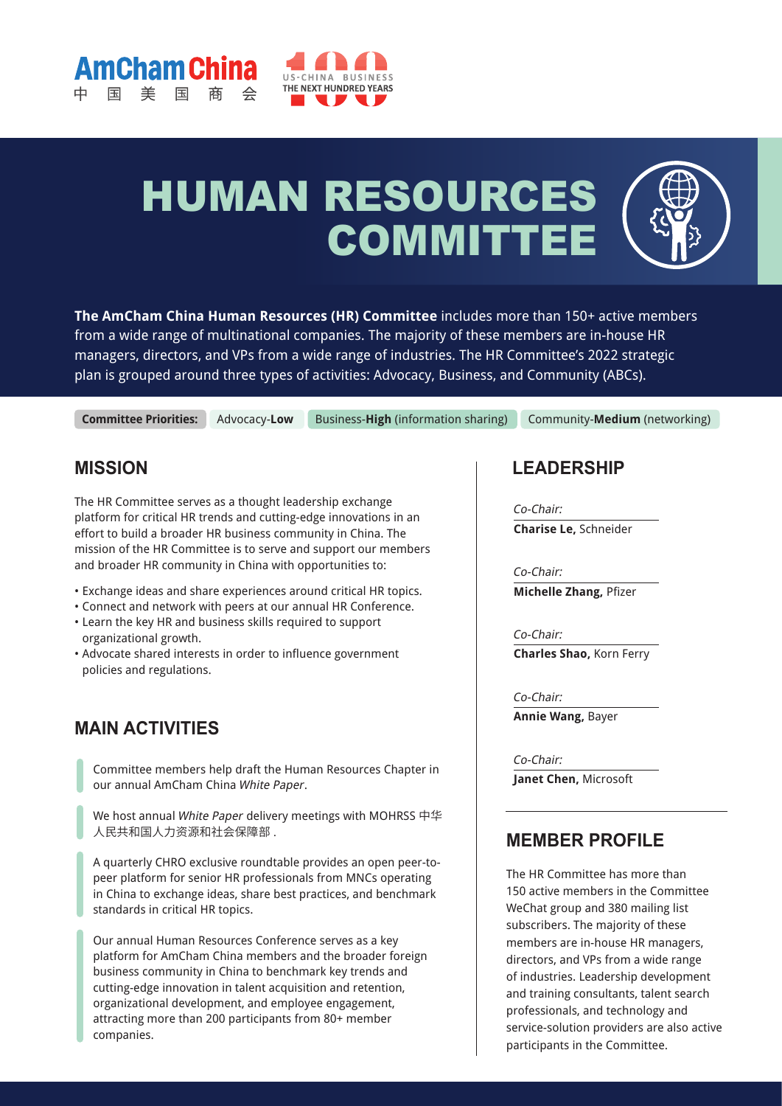



# HUMAN RESOURCES **COMMITTE**

**The AmCham China Human Resources (HR) Committee** includes more than 150+ active members from a wide range of multinational companies. The majority of these members are in-house HR managers, directors, and VPs from a wide range of industries. The HR Committee's 2022 strategic plan is grouped around three types of activities: Advocacy, Business, and Community (ABCs).

**Committee Priorities:**

Advocacy-**Low** Business-**High** (information sharing) Community-**Medium** (networking)

## **MISSION**

The HR Committee serves as a thought leadership exchange platform for critical HR trends and cutting-edge innovations in an effort to build a broader HR business community in China. The mission of the HR Committee is to serve and support our members and broader HR community in China with opportunities to:

- Exchange ideas and share experiences around critical HR topics.
- Connect and network with peers at our annual HR Conference.
- Learn the key HR and business skills required to support organizational growth.
- Advocate shared interests in order to influence government policies and regulations.

## **MAIN ACTIVITIES**

Committee members help draft the Human Resources Chapter in our annual AmCham China White Paper.

We host annual White Paper delivery meetings with MOHRSS 中华 人民共和国人力资源和社会保障部 .

A quarterly CHRO exclusive roundtable provides an open peer-topeer platform for senior HR professionals from MNCs operating in China to exchange ideas, share best practices, and benchmark standards in critical HR topics.

Our annual Human Resources Conference serves as a key platform for AmCham China members and the broader foreign business community in China to benchmark key trends and cutting-edge innovation in talent acquisition and retention, organizational development, and employee engagement, attracting more than 200 participants from 80+ member companies.

## **LEADERSHIP**

Co-Chair: **Charise Le,** Schneider

Co-Chair: **Michelle Zhang,** Pfizer

Co-Chair: **Charles Shao,** Korn Ferry

Co-Chair: **Annie Wang,** Bayer

Co-Chair: **Janet Chen,** Microsoft

## **MEMBER PROFILE**

The HR Committee has more than 150 active members in the Committee WeChat group and 380 mailing list subscribers. The majority of these members are in-house HR managers, directors, and VPs from a wide range of industries. Leadership development and training consultants, talent search professionals, and technology and service-solution providers are also active participants in the Committee.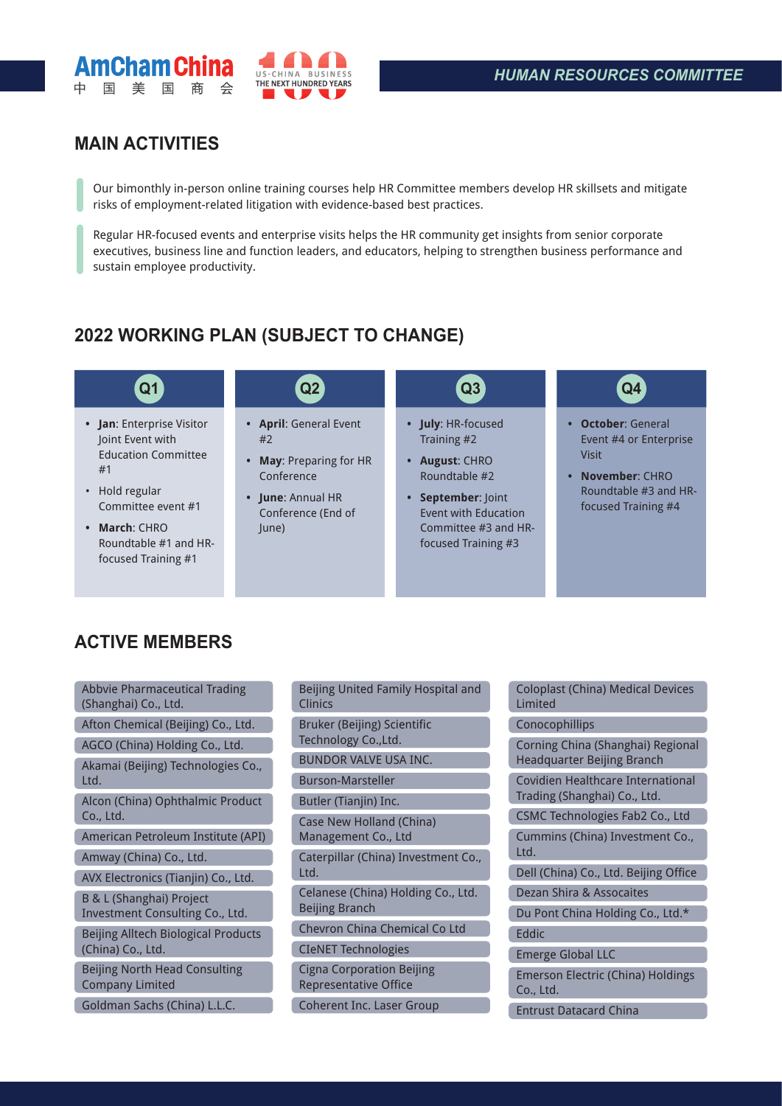



## **MAIN ACTIVITIES**

Our bimonthly in-person online training courses help HR Committee members develop HR skillsets and mitigate risks of employment-related litigation with evidence-based best practices.

Regular HR-focused events and enterprise visits helps the HR community get insights from senior corporate executives, business line and function leaders, and educators, helping to strengthen business performance and sustain employee productivity.

## **2022 WORKING PLAN (SUBJECT TO CHANGE)**

- **• Jan**: Enterprise Visitor Joint Event with Education Committee #1
- Hold regular Committee event #1
- **• March**: CHRO Roundtable #1 and HRfocused Training #1

- **• April**: General Event #2
- **• May**: Preparing for HR Conference
- **• June**: Annual HR Conference (End of June)

C ſ ſ

ſ ſ

## **Q1 Q2 Q3 Q4**

- **• July**: HR-focused Training #2
- **• August**: CHRO Roundtable #2
- **• September**: Joint Event with Education Committee #3 and HRfocused Training #3

ſ

ſ

ſ ſ

- **• October**: General Event #4 or Enterprise Visit
- **• November**: CHRO Roundtable #3 and HRfocused Training #4

## **ACTIVE MEMBERS**

| <b>Abbvie Pharmaceutical Trading</b><br>(Shanghai) Co., Ltd.           |
|------------------------------------------------------------------------|
| Afton Chemical (Beijing) Co., Ltd.                                     |
| AGCO (China) Holding Co., Ltd.                                         |
| Akamai (Beijing) Technologies Co.,<br>Ltd.                             |
| Alcon (China) Ophthalmic Product<br>Co., Ltd.                          |
| American Petroleum Institute (API)                                     |
| Amway (China) Co., Ltd.                                                |
| AVX Electronics (Tianjin) Co., Ltd.                                    |
| <b>B &amp; L (Shanghai) Project</b><br>Investment Consulting Co., Ltd. |
| Beijing Alltech Biological Products<br>(China) Co., Ltd.               |
| <b>Beijing North Head Consulting</b><br><b>Company Limited</b>         |
| Goldman Sachs (China) L.L.C.                                           |

| Beijing United Family Hospital and<br>Clinics             |
|-----------------------------------------------------------|
| Bruker (Beijing) Scientific<br>Technology Co., Ltd.       |
| BUNDOR VALVE USA INC.                                     |
| <b>Burson-Marsteller</b>                                  |
| Butler (Tianjin) Inc.                                     |
| Case New Holland (China)<br>Management Co., Ltd           |
| Caterpillar (China) Investment Co.,<br>Ltd.               |
| Celanese (China) Holding Co., Ltd.<br>Beijing Branch      |
| Chevron China Chemical Co Ltd                             |
| <b>CIeNET Technologies</b>                                |
| <b>Cigna Corporation Beijing</b><br>Representative Office |
| <b>Coherent Inc. Laser Group</b>                          |

| Coloplast (China) Medical Devices<br>Limited                             |
|--------------------------------------------------------------------------|
| Conocophillips                                                           |
| Corning China (Shanghai) Regional<br>Headquarter Beijing Branch          |
| <b>Covidien Healthcare International</b><br>Trading (Shanghai) Co., Ltd. |
| <b>CSMC Technologies Fab2 Co., Ltd</b>                                   |
| Cummins (China) Investment Co.,<br>Ltd.                                  |
| Dell (China) Co., Ltd. Beijing Office                                    |
| <b>Dezan Shira &amp; Assocaites</b>                                      |
| Du Pont China Holding Co., Ltd.*                                         |
| Eddic                                                                    |
| <b>Emerge Global LLC</b>                                                 |
| <b>Emerson Electric (China) Holdings</b><br>Co., Ltd.                    |
| <b>Entrust Datacard China</b>                                            |
|                                                                          |